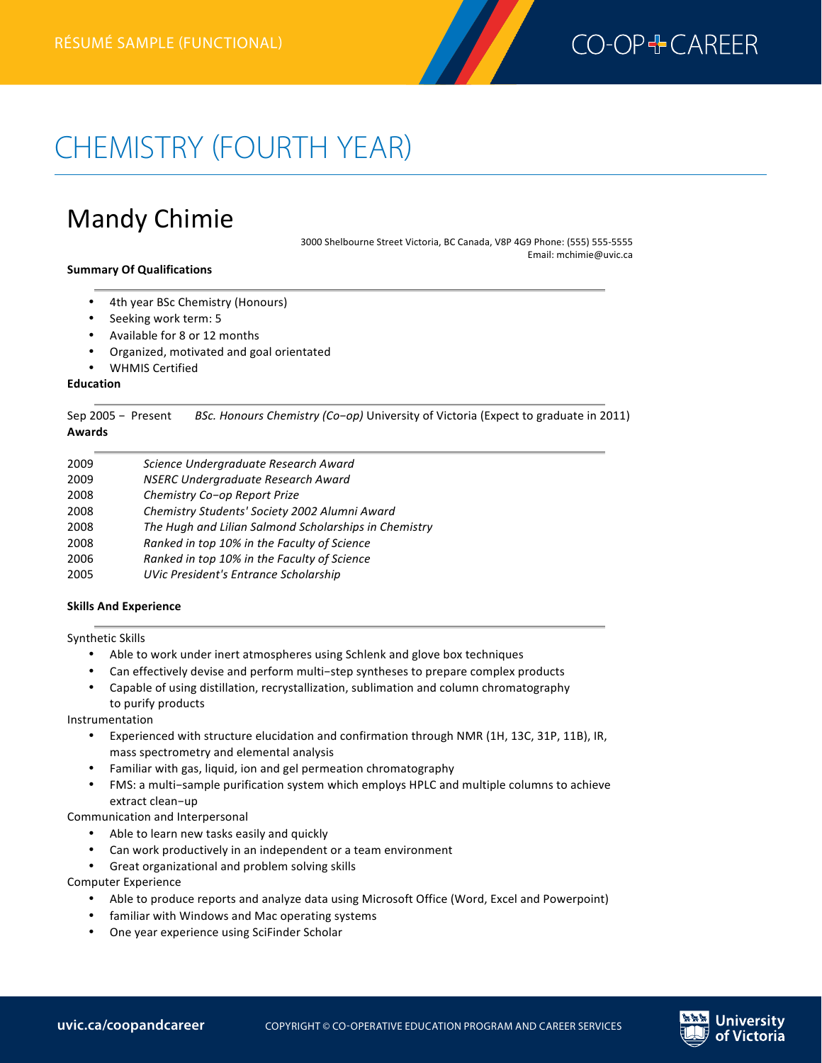

# CHEMISTRY (FOURTH YEAR)

# Mandy Chimie

3000 Shelbourne Street Victoria, BC Canada, V8P 4G9 Phone: (555) 555-5555 Email: mchimie@uvic.ca

#### **Summary Of Qualifications**

- 4th year BSc Chemistry (Honours)
- Seeking work term: 5
- Available for 8 or 12 months
- Organized, motivated and goal orientated
- WHMIS Certified

#### **Education**

 **Chemistry résumé(fourth year)—functional**

Sep 2005 - Present BSc. Honours Chemistry (Co-op) University of Victoria (Expect to graduate in 2011) **Awards**

| 2009 | Science Undergraduate Research Award                  |
|------|-------------------------------------------------------|
| 2009 | NSERC Undergraduate Research Award                    |
| 2008 | Chemistry Co-op Report Prize                          |
| 2008 | Chemistry Students' Society 2002 Alumni Award         |
| 2008 | The Hugh and Lilian Salmond Scholarships in Chemistry |
| 2008 | Ranked in top 10% in the Faculty of Science           |
| 2006 | Ranked in top 10% in the Faculty of Science           |
| 2005 | UVic President's Entrance Scholarship                 |

#### **Skills And Experience**

Synthetic Skills

- Able to work under inert atmospheres using Schlenk and glove box techniques
- Can effectively devise and perform multi-step syntheses to prepare complex products
- Capable of using distillation, recrystallization, sublimation and column chromatography to purify products

Instrumentation 

- Experienced with structure elucidation and confirmation through NMR (1H, 13C, 31P, 11B), IR, mass spectrometry and elemental analysis
- Familiar with gas, liquid, ion and gel permeation chromatography
- FMS: a multi-sample purification system which employs HPLC and multiple columns to achieve extract clean-up

Communication and Interpersonal

- Able to learn new tasks easily and quickly
- Can work productively in an independent or a team environment
- Great organizational and problem solving skills

Computer Experience

- Able to produce reports and analyze data using Microsoft Office (Word, Excel and Powerpoint)
- familiar with Windows and Mac operating systems
- One year experience using SciFinder Scholar